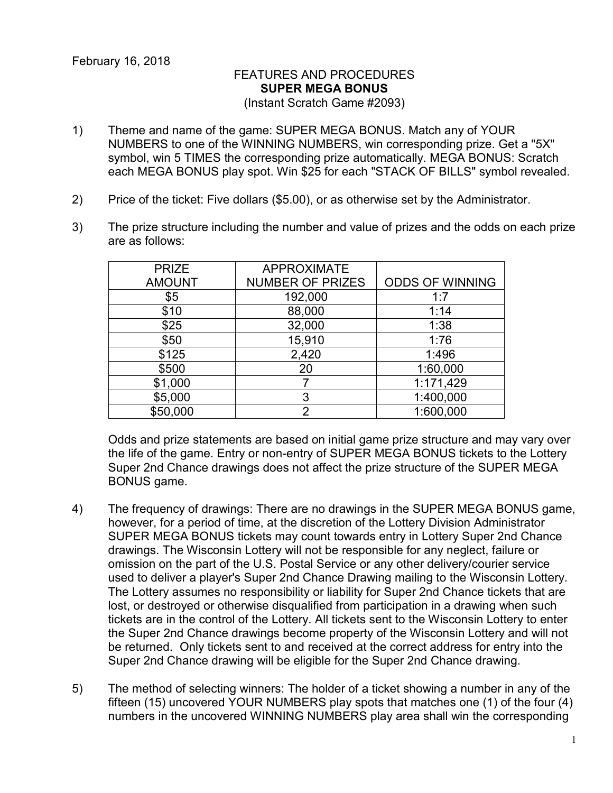## FEATURES AND PROCEDURES **SUPER MEGA BONUS** (Instant Scratch Game #2093)

- 1) Theme and name of the game: SUPER MEGA BONUS. Match any of YOUR NUMBERS to one of the WINNING NUMBERS, win corresponding prize. Get a "5X" symbol, win 5 TIMES the corresponding prize automatically. MEGA BONUS: Scratch each MEGA BONUS play spot. Win \$25 for each "STACK OF BILLS" symbol revealed.
- 2) Price of the ticket: Five dollars (\$5.00), or as otherwise set by the Administrator.
- 3) The prize structure including the number and value of prizes and the odds on each prize are as follows:

| <b>PRIZE</b>  | <b>APPROXIMATE</b>      |                        |
|---------------|-------------------------|------------------------|
| <b>AMOUNT</b> | <b>NUMBER OF PRIZES</b> | <b>ODDS OF WINNING</b> |
| \$5           | 192,000                 | 1:7                    |
| \$10          | 88,000                  | 1:14                   |
| \$25          | 32,000                  | 1:38                   |
| \$50          | 15,910                  | 1:76                   |
| \$125         | 2,420                   | 1:496                  |
| \$500         | 20                      | 1:60,000               |
| \$1,000       |                         | 1:171,429              |
| \$5,000       | 3                       | 1:400,000              |
| \$50,000      | っ                       | 1:600,000              |

Odds and prize statements are based on initial game prize structure and may vary over the life of the game. Entry or non-entry of SUPER MEGA BONUS tickets to the Lottery Super 2nd Chance drawings does not affect the prize structure of the SUPER MEGA BONUS game.

- 4) The frequency of drawings: There are no drawings in the SUPER MEGA BONUS game, however, for a period of time, at the discretion of the Lottery Division Administrator SUPER MEGA BONUS tickets may count towards entry in Lottery Super 2nd Chance drawings. The Wisconsin Lottery will not be responsible for any neglect, failure or omission on the part of the U.S. Postal Service or any other delivery/courier service used to deliver a player's Super 2nd Chance Drawing mailing to the Wisconsin Lottery. The Lottery assumes no responsibility or liability for Super 2nd Chance tickets that are lost, or destroyed or otherwise disqualified from participation in a drawing when such tickets are in the control of the Lottery. All tickets sent to the Wisconsin Lottery to enter the Super 2nd Chance drawings become property of the Wisconsin Lottery and will not be returned. Only tickets sent to and received at the correct address for entry into the Super 2nd Chance drawing will be eligible for the Super 2nd Chance drawing.
- 5) The method of selecting winners: The holder of a ticket showing a number in any of the fifteen (15) uncovered YOUR NUMBERS play spots that matches one (1) of the four (4) numbers in the uncovered WINNING NUMBERS play area shall win the corresponding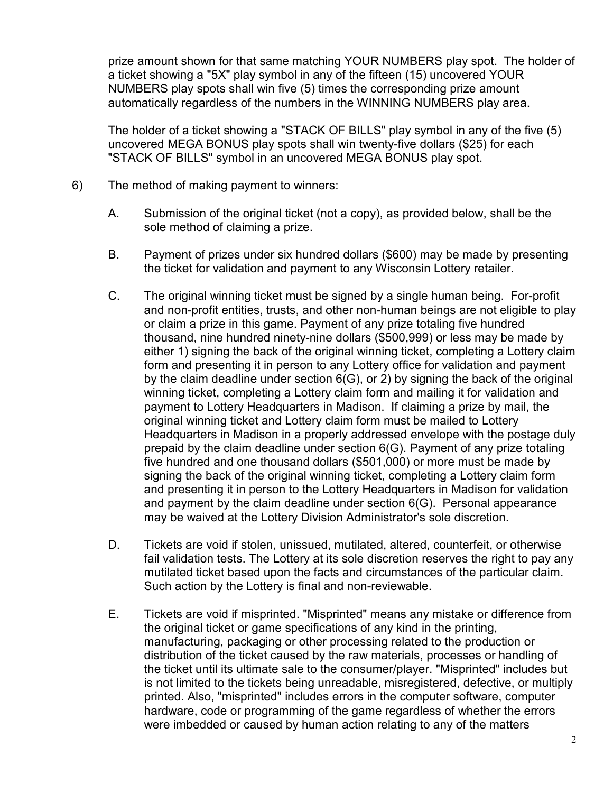prize amount shown for that same matching YOUR NUMBERS play spot. The holder of a ticket showing a "5X" play symbol in any of the fifteen (15) uncovered YOUR NUMBERS play spots shall win five (5) times the corresponding prize amount automatically regardless of the numbers in the WINNING NUMBERS play area.

The holder of a ticket showing a "STACK OF BILLS" play symbol in any of the five (5) uncovered MEGA BONUS play spots shall win twenty-five dollars (\$25) for each "STACK OF BILLS" symbol in an uncovered MEGA BONUS play spot.

- 6) The method of making payment to winners:
	- A. Submission of the original ticket (not a copy), as provided below, shall be the sole method of claiming a prize.
	- B. Payment of prizes under six hundred dollars (\$600) may be made by presenting the ticket for validation and payment to any Wisconsin Lottery retailer.
	- C. The original winning ticket must be signed by a single human being. For-profit and non-profit entities, trusts, and other non-human beings are not eligible to play or claim a prize in this game. Payment of any prize totaling five hundred thousand, nine hundred ninety-nine dollars (\$500,999) or less may be made by either 1) signing the back of the original winning ticket, completing a Lottery claim form and presenting it in person to any Lottery office for validation and payment by the claim deadline under section 6(G), or 2) by signing the back of the original winning ticket, completing a Lottery claim form and mailing it for validation and payment to Lottery Headquarters in Madison. If claiming a prize by mail, the original winning ticket and Lottery claim form must be mailed to Lottery Headquarters in Madison in a properly addressed envelope with the postage duly prepaid by the claim deadline under section 6(G). Payment of any prize totaling five hundred and one thousand dollars (\$501,000) or more must be made by signing the back of the original winning ticket, completing a Lottery claim form and presenting it in person to the Lottery Headquarters in Madison for validation and payment by the claim deadline under section 6(G). Personal appearance may be waived at the Lottery Division Administrator's sole discretion.
	- D. Tickets are void if stolen, unissued, mutilated, altered, counterfeit, or otherwise fail validation tests. The Lottery at its sole discretion reserves the right to pay any mutilated ticket based upon the facts and circumstances of the particular claim. Such action by the Lottery is final and non-reviewable.
	- E. Tickets are void if misprinted. "Misprinted" means any mistake or difference from the original ticket or game specifications of any kind in the printing, manufacturing, packaging or other processing related to the production or distribution of the ticket caused by the raw materials, processes or handling of the ticket until its ultimate sale to the consumer/player. "Misprinted" includes but is not limited to the tickets being unreadable, misregistered, defective, or multiply printed. Also, "misprinted" includes errors in the computer software, computer hardware, code or programming of the game regardless of whether the errors were imbedded or caused by human action relating to any of the matters